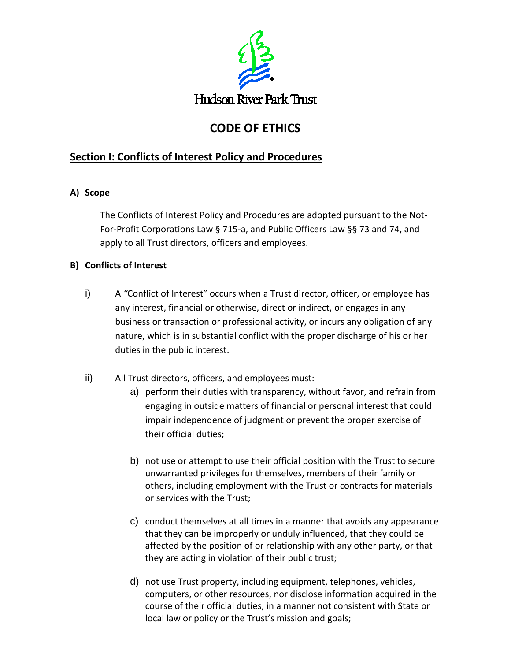

# **CODE OF ETHICS**

## **Section I: Conflicts of Interest Policy and Procedures**

## **A) Scope**

The Conflicts of Interest Policy and Procedures are adopted pursuant to the Not-For-Profit Corporations Law § 715-a, and Public Officers Law §§ 73 and 74, and apply to all Trust directors, officers and employees.

## **B) Conflicts of Interest**

- i) A *"*Conflict of Interest" occurs when a Trust director, officer, or employee has any interest, financial or otherwise, direct or indirect, or engages in any business or transaction or professional activity, or incurs any obligation of any nature, which is in substantial conflict with the proper discharge of his or her duties in the public interest.
- ii) All Trust directors, officers, and employees must:
	- a) perform their duties with transparency, without favor, and refrain from engaging in outside matters of financial or personal interest that could impair independence of judgment or prevent the proper exercise of their official duties;
	- b) not use or attempt to use their official position with the Trust to secure unwarranted privileges for themselves, members of their family or others, including employment with the Trust or contracts for materials or services with the Trust;
	- c) conduct themselves at all times in a manner that avoids any appearance that they can be improperly or unduly influenced, that they could be affected by the position of or relationship with any other party, or that they are acting in violation of their public trust;
	- d) not use Trust property, including equipment, telephones, vehicles, computers, or other resources, nor disclose information acquired in the course of their official duties, in a manner not consistent with State or local law or policy or the Trust's mission and goals;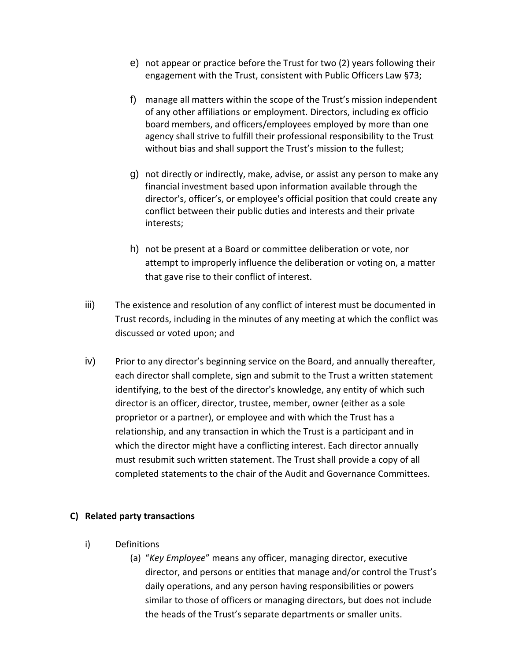- e) not appear or practice before the Trust for two (2) years following their engagement with the Trust, consistent with Public Officers Law §73;
- f) manage all matters within the scope of the Trust's mission independent of any other affiliations or employment. Directors, including ex officio board members, and officers/employees employed by more than one agency shall strive to fulfill their professional responsibility to the Trust without bias and shall support the Trust's mission to the fullest;
- g) not directly or indirectly, make, advise, or assist any person to make any financial investment based upon information available through the director's, officer's, or employee's official position that could create any conflict between their public duties and interests and their private interests;
- h) not be present at a Board or committee deliberation or vote, nor attempt to improperly influence the deliberation or voting on, a matter that gave rise to their conflict of interest.
- iii) The existence and resolution of any conflict of interest must be documented in Trust records, including in the minutes of any meeting at which the conflict was discussed or voted upon; and
- iv) Prior to any director's beginning service on the Board, and annually thereafter, each director shall complete, sign and submit to the Trust a written statement identifying, to the best of the director's knowledge, any entity of which such director is an officer, director, trustee, member, owner (either as a sole proprietor or a partner), or employee and with which the Trust has a relationship, and any transaction in which the Trust is a participant and in which the director might have a conflicting interest. Each director annually must resubmit such written statement. The Trust shall provide a copy of all completed statements to the chair of the Audit and Governance Committees.

#### **C) Related party transactions**

- i) Definitions
	- (a) "*Key Employee*" means any officer, managing director, executive director, and persons or entities that manage and/or control the Trust's daily operations, and any person having responsibilities or powers similar to those of officers or managing directors, but does not include the heads of the Trust's separate departments or smaller units.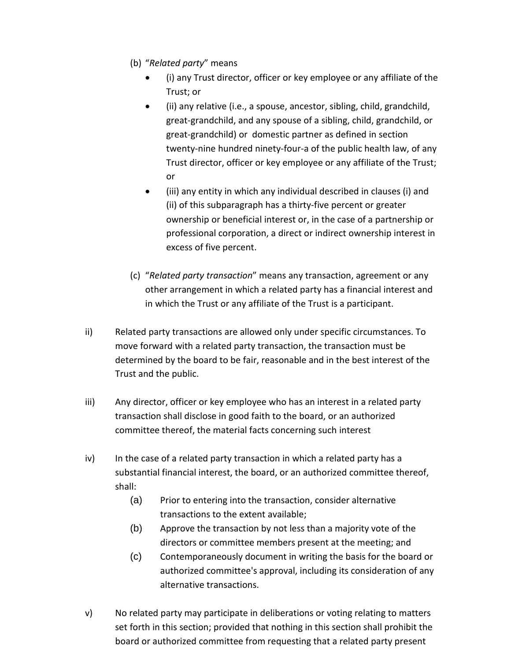- (b) "*Related party*" means
	- (i) any Trust director, officer or key employee or any affiliate of the Trust; or
	- (ii) any relative (i.e., a spouse, ancestor, sibling, child, grandchild, great-grandchild, and any spouse of a sibling, child, grandchild, or great-grandchild) or domestic partner as defined in section twenty-nine hundred ninety-four-a of the public health law, of any Trust director, officer or key employee or any affiliate of the Trust; or
	- (iii) any entity in which any individual described in clauses (i) and (ii) of this subparagraph has a thirty-five percent or greater ownership or beneficial interest or, in the case of a partnership or professional corporation, a direct or indirect ownership interest in excess of five percent.
- (c) "*Related party transaction*" means any transaction, agreement or any other arrangement in which a related party has a financial interest and in which the Trust or any affiliate of the Trust is a participant.
- ii) Related party transactions are allowed only under specific circumstances. To move forward with a related party transaction, the transaction must be determined by the board to be fair, reasonable and in the best interest of the Trust and the public.
- iii) Any director, officer or key employee who has an interest in a related party transaction shall disclose in good faith to the board, or an authorized committee thereof, the material facts concerning such interest
- iv) In the case of a related party transaction in which a related party has a substantial financial interest, the board, or an authorized committee thereof, shall:
	- (a) Prior to entering into the transaction, consider alternative transactions to the extent available;
	- (b) Approve the transaction by not less than a majority vote of the directors or committee members present at the meeting; and
	- (c) Contemporaneously document in writing the basis for the board or authorized committee's approval, including its consideration of any alternative transactions.
- v) No related party may participate in deliberations or voting relating to matters set forth in this section; provided that nothing in this section shall prohibit the board or authorized committee from requesting that a related party present